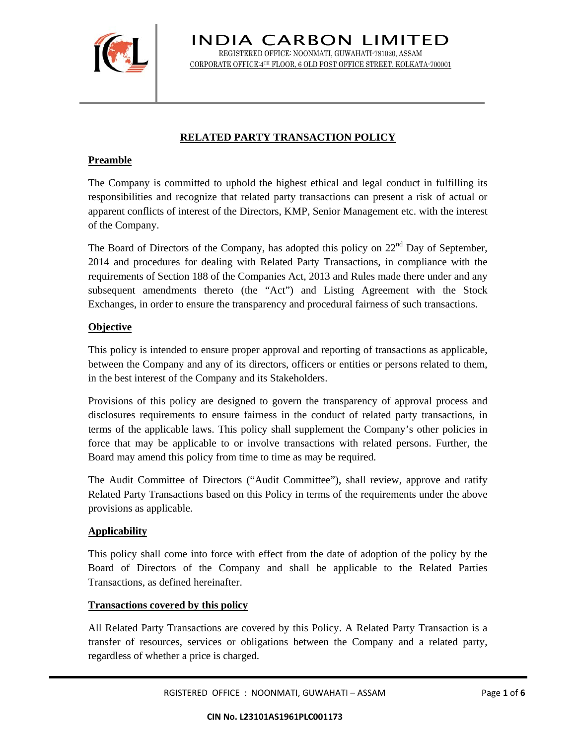

INDIA CARBON LIMITED REGISTERED OFFICE: NOONMATI, GUWAHATI-781020, ASSAM CORPORATE OFFICE:4TH FLOOR, 6 OLD POST OFFICE STREET, KOLKATA-700001

### **RELATED PARTY TRANSACTION POLICY**

### **Preamble**

The Company is committed to uphold the highest ethical and legal conduct in fulfilling its responsibilities and recognize that related party transactions can present a risk of actual or apparent conflicts of interest of the Directors, KMP, Senior Management etc. with the interest of the Company.

The Board of Directors of the Company, has adopted this policy on  $22<sup>nd</sup>$  Day of September, 2014 and procedures for dealing with Related Party Transactions, in compliance with the requirements of Section 188 of the Companies Act, 2013 and Rules made there under and any subsequent amendments thereto (the "Act") and Listing Agreement with the Stock Exchanges, in order to ensure the transparency and procedural fairness of such transactions.

#### **Objective**

This policy is intended to ensure proper approval and reporting of transactions as applicable, between the Company and any of its directors, officers or entities or persons related to them, in the best interest of the Company and its Stakeholders.

Provisions of this policy are designed to govern the transparency of approval process and disclosures requirements to ensure fairness in the conduct of related party transactions, in terms of the applicable laws. This policy shall supplement the Company's other policies in force that may be applicable to or involve transactions with related persons. Further, the Board may amend this policy from time to time as may be required.

The Audit Committee of Directors ("Audit Committee"), shall review, approve and ratify Related Party Transactions based on this Policy in terms of the requirements under the above provisions as applicable.

# **Applicability**

This policy shall come into force with effect from the date of adoption of the policy by the Board of Directors of the Company and shall be applicable to the Related Parties Transactions, as defined hereinafter.

# **Transactions covered by this policy**

All Related Party Transactions are covered by this Policy. A Related Party Transaction is a transfer of resources, services or obligations between the Company and a related party, regardless of whether a price is charged.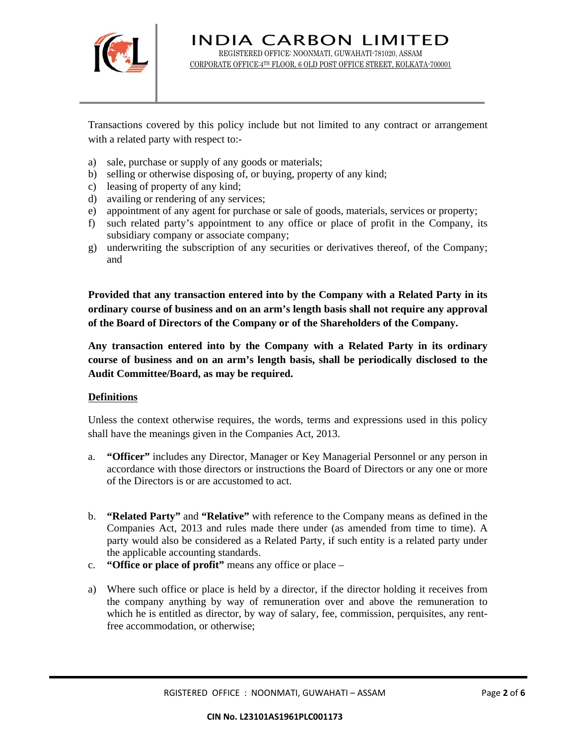

INDIA CARBON LIMITED REGISTERED OFFICE: NOONMATI, GUWAHATI-781020, ASSAM CORPORATE OFFICE:4TH FLOOR, 6 OLD POST OFFICE STREET, KOLKATA-700001

Transactions covered by this policy include but not limited to any contract or arrangement with a related party with respect to:-

- a) sale, purchase or supply of any goods or materials;
- b) selling or otherwise disposing of, or buying, property of any kind;
- c) leasing of property of any kind;
- d) availing or rendering of any services;
- e) appointment of any agent for purchase or sale of goods, materials, services or property;
- f) such related party's appointment to any office or place of profit in the Company, its subsidiary company or associate company;
- g) underwriting the subscription of any securities or derivatives thereof, of the Company; and

**Provided that any transaction entered into by the Company with a Related Party in its ordinary course of business and on an arm's length basis shall not require any approval of the Board of Directors of the Company or of the Shareholders of the Company.** 

**Any transaction entered into by the Company with a Related Party in its ordinary course of business and on an arm's length basis, shall be periodically disclosed to the Audit Committee/Board, as may be required.**

#### **Definitions**

Unless the context otherwise requires, the words, terms and expressions used in this policy shall have the meanings given in the Companies Act, 2013.

- a. **"Officer"** includes any Director, Manager or Key Managerial Personnel or any person in accordance with those directors or instructions the Board of Directors or any one or more of the Directors is or are accustomed to act.
- b. **"Related Party"** and **"Relative"** with reference to the Company means as defined in the Companies Act, 2013 and rules made there under (as amended from time to time). A party would also be considered as a Related Party, if such entity is a related party under the applicable accounting standards.
- c. **"Office or place of profit"** means any office or place –
- a) Where such office or place is held by a director, if the director holding it receives from the company anything by way of remuneration over and above the remuneration to which he is entitled as director, by way of salary, fee, commission, perquisites, any rentfree accommodation, or otherwise;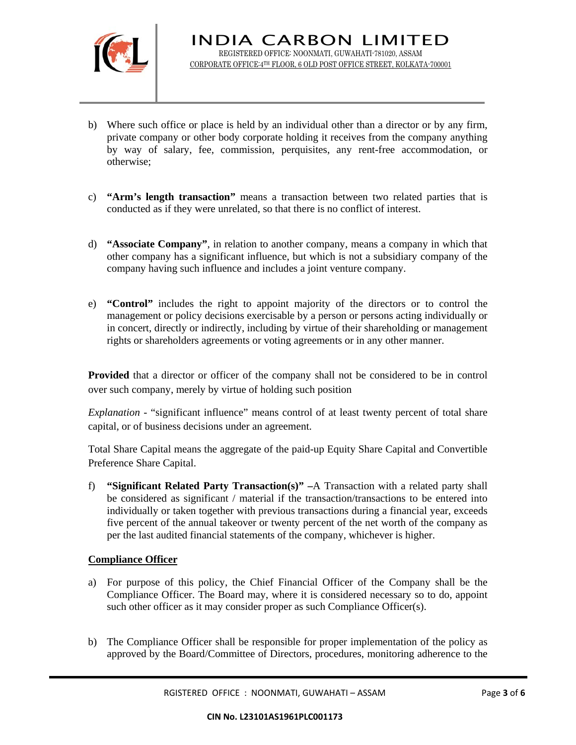

- b) Where such office or place is held by an individual other than a director or by any firm, private company or other body corporate holding it receives from the company anything by way of salary, fee, commission, perquisites, any rent-free accommodation, or otherwise;
- c) **"Arm's length transaction"** means a transaction between two related parties that is conducted as if they were unrelated, so that there is no conflict of interest.
- d) **"Associate Company"**, in relation to another company, means a company in which that other company has a significant influence, but which is not a subsidiary company of the company having such influence and includes a joint venture company.
- e) **"Control"** includes the right to appoint majority of the directors or to control the management or policy decisions exercisable by a person or persons acting individually or in concert, directly or indirectly, including by virtue of their shareholding or management rights or shareholders agreements or voting agreements or in any other manner.

**Provided** that a director or officer of the company shall not be considered to be in control over such company, merely by virtue of holding such position

*Explanation* - "significant influence" means control of at least twenty percent of total share capital, or of business decisions under an agreement.

Total Share Capital means the aggregate of the paid-up Equity Share Capital and Convertible Preference Share Capital.

f) **"Significant Related Party Transaction(s)" –**A Transaction with a related party shall be considered as significant / material if the transaction/transactions to be entered into individually or taken together with previous transactions during a financial year, exceeds five percent of the annual takeover or twenty percent of the net worth of the company as per the last audited financial statements of the company, whichever is higher.

# **Compliance Officer**

- a) For purpose of this policy, the Chief Financial Officer of the Company shall be the Compliance Officer. The Board may, where it is considered necessary so to do, appoint such other officer as it may consider proper as such Compliance Officer(s).
- b) The Compliance Officer shall be responsible for proper implementation of the policy as approved by the Board/Committee of Directors, procedures, monitoring adherence to the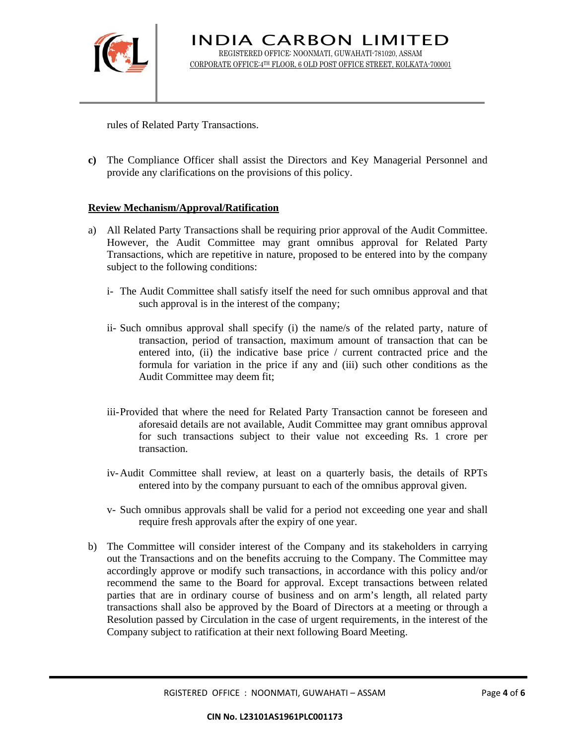

INDIA CARBON LIMITED REGISTERED OFFICE: NOONMATI, GUWAHATI-781020, ASSAM CORPORATE OFFICE:4TH FLOOR, 6 OLD POST OFFICE STREET, KOLKATA-700001

rules of Related Party Transactions.

**c)** The Compliance Officer shall assist the Directors and Key Managerial Personnel and provide any clarifications on the provisions of this policy.

#### **Review Mechanism/Approval/Ratification**

- a) All Related Party Transactions shall be requiring prior approval of the Audit Committee. However, the Audit Committee may grant omnibus approval for Related Party Transactions, which are repetitive in nature, proposed to be entered into by the company subject to the following conditions:
	- i- The Audit Committee shall satisfy itself the need for such omnibus approval and that such approval is in the interest of the company;
	- ii- Such omnibus approval shall specify (i) the name/s of the related party, nature of transaction, period of transaction, maximum amount of transaction that can be entered into, (ii) the indicative base price / current contracted price and the formula for variation in the price if any and (iii) such other conditions as the Audit Committee may deem fit;
	- iii-Provided that where the need for Related Party Transaction cannot be foreseen and aforesaid details are not available, Audit Committee may grant omnibus approval for such transactions subject to their value not exceeding Rs. 1 crore per transaction.
	- iv-Audit Committee shall review, at least on a quarterly basis, the details of RPTs entered into by the company pursuant to each of the omnibus approval given.
	- v- Such omnibus approvals shall be valid for a period not exceeding one year and shall require fresh approvals after the expiry of one year.
- b) The Committee will consider interest of the Company and its stakeholders in carrying out the Transactions and on the benefits accruing to the Company. The Committee may accordingly approve or modify such transactions, in accordance with this policy and/or recommend the same to the Board for approval. Except transactions between related parties that are in ordinary course of business and on arm's length, all related party transactions shall also be approved by the Board of Directors at a meeting or through a Resolution passed by Circulation in the case of urgent requirements, in the interest of the Company subject to ratification at their next following Board Meeting.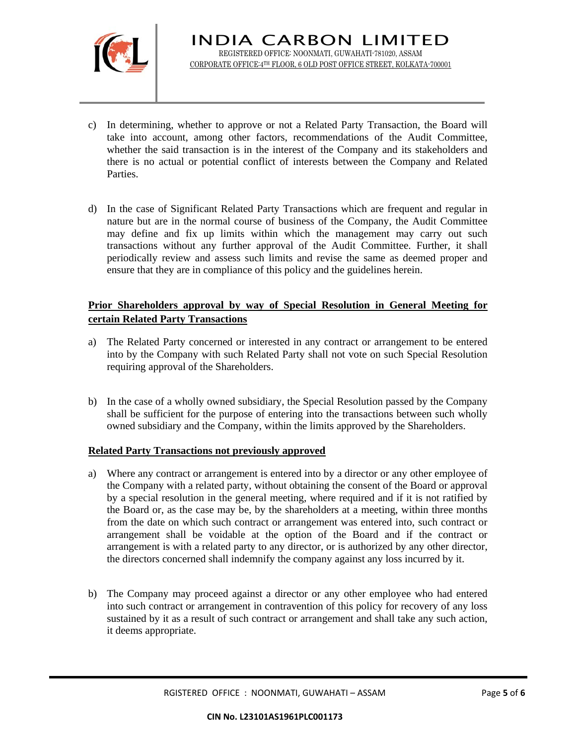

- c) In determining, whether to approve or not a Related Party Transaction, the Board will take into account, among other factors, recommendations of the Audit Committee, whether the said transaction is in the interest of the Company and its stakeholders and there is no actual or potential conflict of interests between the Company and Related Parties.
- d) In the case of Significant Related Party Transactions which are frequent and regular in nature but are in the normal course of business of the Company, the Audit Committee may define and fix up limits within which the management may carry out such transactions without any further approval of the Audit Committee. Further, it shall periodically review and assess such limits and revise the same as deemed proper and ensure that they are in compliance of this policy and the guidelines herein.

# **Prior Shareholders approval by way of Special Resolution in General Meeting for certain Related Party Transactions**

- a) The Related Party concerned or interested in any contract or arrangement to be entered into by the Company with such Related Party shall not vote on such Special Resolution requiring approval of the Shareholders.
- b) In the case of a wholly owned subsidiary, the Special Resolution passed by the Company shall be sufficient for the purpose of entering into the transactions between such wholly owned subsidiary and the Company, within the limits approved by the Shareholders.

# **Related Party Transactions not previously approved**

- a) Where any contract or arrangement is entered into by a director or any other employee of the Company with a related party, without obtaining the consent of the Board or approval by a special resolution in the general meeting, where required and if it is not ratified by the Board or, as the case may be, by the shareholders at a meeting, within three months from the date on which such contract or arrangement was entered into, such contract or arrangement shall be voidable at the option of the Board and if the contract or arrangement is with a related party to any director, or is authorized by any other director, the directors concerned shall indemnify the company against any loss incurred by it.
- b) The Company may proceed against a director or any other employee who had entered into such contract or arrangement in contravention of this policy for recovery of any loss sustained by it as a result of such contract or arrangement and shall take any such action, it deems appropriate.